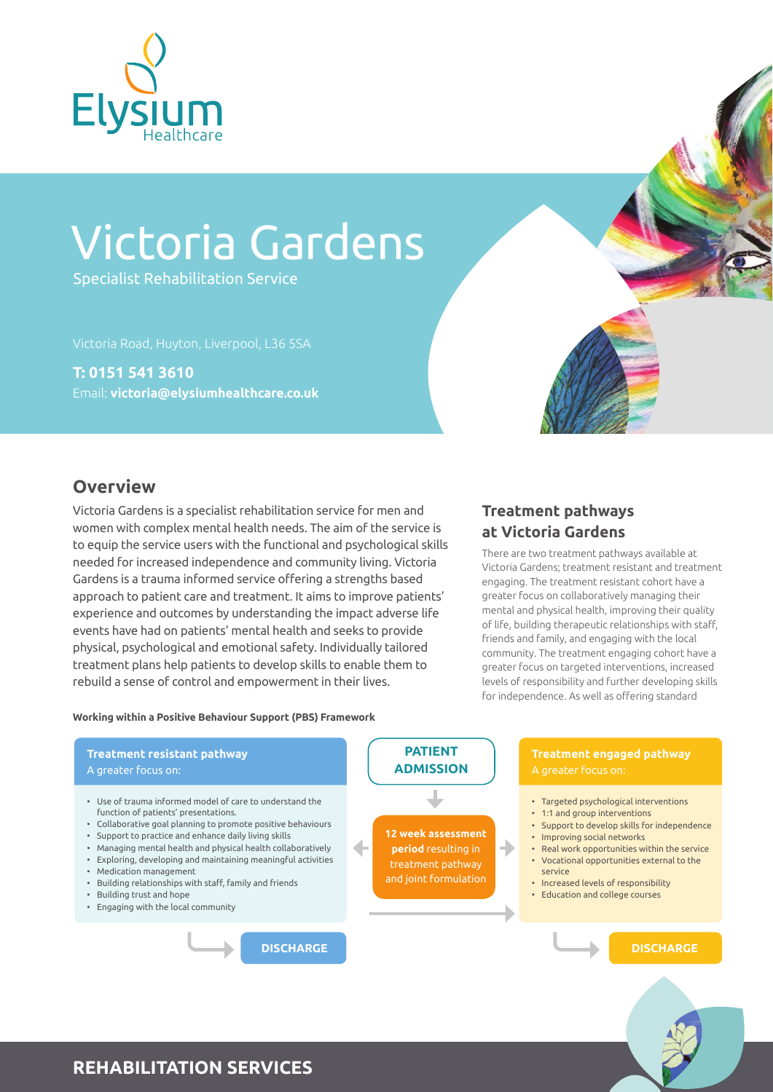

# Victoria Gardens

Specialist Rehabilitation Service

**T: 0151 541 3610** Email: **victoria@elysiumhealthcare.co.uk**



## **Overview**

Victoria Gardens is a specialist rehabilitation service for men and women with complex mental health needs. The aim of the service is to equip the service users with the functional and psychological skills needed for increased independence and community living. Victoria Gardens is a trauma informed service offering a strengths based approach to patient care and treatment. It aims to improve patients' experience and outcomes by understanding the impact adverse life events have had on patients' mental health and seeks to provide physical, psychological and emotional safety. Individually tailored treatment plans help patients to develop skills to enable them to rebuild a sense of control and empowerment in their lives.

## **Treatment pathways at Victoria Gardens**

There are two treatment pathways available at Victoria Gardens; treatment resistant and treatment engaging. The treatment resistant cohort have a greater focus on collaboratively managing their mental and physical health, improving their quality of life, building therapeutic relationships with staff, friends and family, and engaging with the local community. The treatment engaging cohort have a greater focus on targeted interventions, increased levels of responsibility and further developing skills for independence. As well as offering standard

#### **Working within a Positive Behaviour Support (PBS) Framework**



#### **REHABILITATION SERVICES**